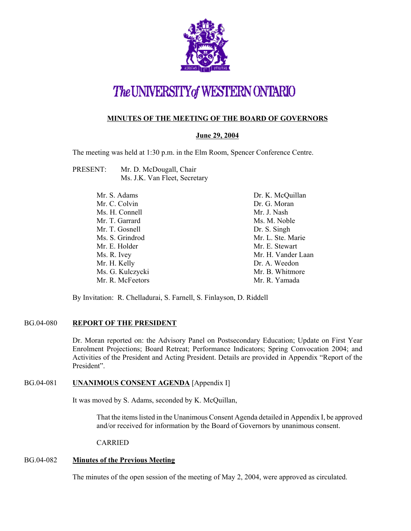

# The UNIVERSITY of WESTERN ONTARIO

# **MINUTES OF THE MEETING OF THE BOARD OF GOVERNORS**

## **June 29, 2004**

The meeting was held at 1:30 p.m. in the Elm Room, Spencer Conference Centre.

| PRESENT: | Mr. D. McDougall, Chair       |
|----------|-------------------------------|
|          | Ms. J.K. Van Fleet, Secretary |

| Mr. S. Adams     | Dr. K. McQuillan   |
|------------------|--------------------|
| Mr. C. Colvin    | Dr. G. Moran       |
| Ms. H. Connell   | Mr. J. Nash        |
| Mr. T. Garrard   | Ms. M. Noble       |
| Mr. T. Gosnell   | Dr. S. Singh       |
| Ms. S. Grindrod  | Mr. L. Ste. Marie  |
| Mr. E. Holder    | Mr. E. Stewart     |
| Ms. R. Ivey      | Mr. H. Vander Laan |
| Mr. H. Kelly     | Dr. A. Weedon      |
| Ms. G. Kulczycki | Mr. B. Whitmore    |
| Mr. R. McFeetors | Mr. R. Yamada      |

By Invitation: R. Chelladurai, S. Farnell, S. Finlayson, D. Riddell

## BG.04-080 **REPORT OF THE PRESIDENT**

Dr. Moran reported on: the Advisory Panel on Postsecondary Education; Update on First Year Enrolment Projections; Board Retreat; Performance Indicators; Spring Convocation 2004; and Activities of the President and Acting President. Details are provided in Appendix "Report of the President".

## BG.04-081 **UNANIMOUS CONSENT AGENDA** [Appendix I]

It was moved by S. Adams, seconded by K. McQuillan,

That the items listed in the Unanimous Consent Agenda detailed in Appendix I, be approved and/or received for information by the Board of Governors by unanimous consent.

CARRIED

#### BG.04-082 **Minutes of the Previous Meeting**

The minutes of the open session of the meeting of May 2, 2004, were approved as circulated.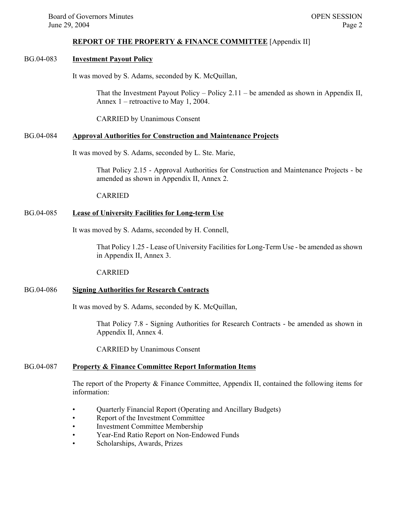#### **REPORT OF THE PROPERTY & FINANCE COMMITTEE** [Appendix II]

## BG.04-083 **Investment Payout Policy**

It was moved by S. Adams, seconded by K. McQuillan,

That the Investment Payout Policy – Policy 2.11 – be amended as shown in Appendix II, Annex 1 – retroactive to May 1, 2004.

CARRIED by Unanimous Consent

#### BG.04-084 **Approval Authorities for Construction and Maintenance Projects**

It was moved by S. Adams, seconded by L. Ste. Marie,

That Policy 2.15 - Approval Authorities for Construction and Maintenance Projects - be amended as shown in Appendix II, Annex 2.

#### CARRIED

#### BG.04-085 **Lease of University Facilities for Long-term Use**

It was moved by S. Adams, seconded by H. Connell,

That Policy 1.25 - Lease of University Facilities for Long-Term Use - be amended as shown in Appendix II, Annex 3.

#### CARRIED

## BG.04-086 **Signing Authorities for Research Contracts**

It was moved by S. Adams, seconded by K. McQuillan,

That Policy 7.8 - Signing Authorities for Research Contracts - be amended as shown in Appendix II, Annex 4.

CARRIED by Unanimous Consent

#### BG.04-087 **Property & Finance Committee Report Information Items**

The report of the Property & Finance Committee, Appendix II, contained the following items for information:

- Quarterly Financial Report (Operating and Ancillary Budgets)
- Report of the Investment Committee
- Investment Committee Membership
- Year-End Ratio Report on Non-Endowed Funds
- Scholarships, Awards, Prizes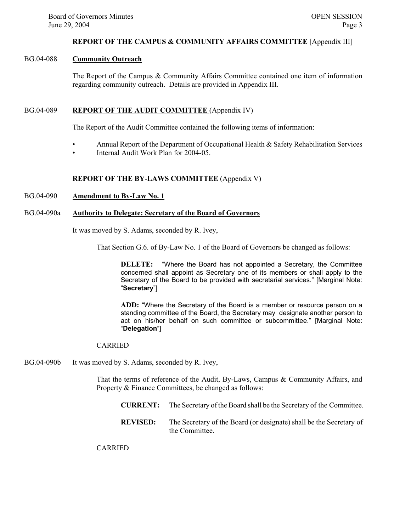#### **REPORT OF THE CAMPUS & COMMUNITY AFFAIRS COMMITTEE** [Appendix III]

## BG.04-088 **Community Outreach**

The Report of the Campus & Community Affairs Committee contained one item of information regarding community outreach. Details are provided in Appendix III.

## BG.04-089 **REPORT OF THE AUDIT COMMITTEE** (Appendix IV)

The Report of the Audit Committee contained the following items of information:

- Annual Report of the Department of Occupational Health & Safety Rehabilitation Services
- Internal Audit Work Plan for 2004-05

## **REPORT OF THE BY-LAWS COMMITTEE** (Appendix V)

## BG.04-090 **Amendment to By-Law No. 1**

#### BG.04-090a **Authority to Delegate: Secretary of the Board of Governors**

It was moved by S. Adams, seconded by R. Ivey,

That Section G.6. of By-Law No. 1 of the Board of Governors be changed as follows:

**DELETE:** "Where the Board has not appointed a Secretary, the Committee concerned shall appoint as Secretary one of its members or shall apply to the Secretary of the Board to be provided with secretarial services." [Marginal Note: "**Secretary**"]

**ADD:** "Where the Secretary of the Board is a member or resource person on a standing committee of the Board, the Secretary may designate another person to act on his/her behalf on such committee or subcommittee." [Marginal Note: "**Delegation**"]

#### CARRIED

BG.04-090b It was moved by S. Adams, seconded by R. Ivey,

That the terms of reference of the Audit, By-Laws, Campus & Community Affairs, and Property & Finance Committees, be changed as follows:

- **CURRENT:** The Secretary of the Board shall be the Secretary of the Committee.
- **REVISED:** The Secretary of the Board (or designate) shall be the Secretary of the Committee.

CARRIED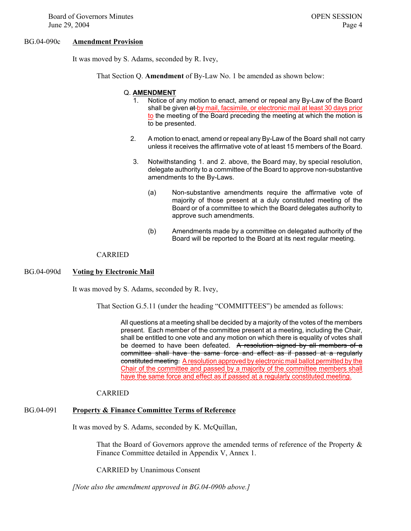Board of Governors Minutes **OPEN SESSION** June 29, 2004  $P$ age 4

#### BG.04-090c **Amendment Provision**

It was moved by S. Adams, seconded by R. Ivey,

That Section Q. **Amendment** of By-Law No. 1 be amended as shown below:

#### Q. **AMENDMENT**

- 1. Notice of any motion to enact, amend or repeal any By-Law of the Board shall be given at by mail, facsimile, or electronic mail at least 30 days prior to the meeting of the Board preceding the meeting at which the motion is to be presented.
- 2. A motion to enact, amend or repeal any By-Law of the Board shall not carry unless it receives the affirmative vote of at least 15 members of the Board.
- 3. Notwithstanding 1. and 2. above, the Board may, by special resolution, delegate authority to a committee of the Board to approve non-substantive amendments to the By-Laws.
	- (a) Non-substantive amendments require the affirmative vote of majority of those present at a duly constituted meeting of the Board or of a committee to which the Board delegates authority to approve such amendments.
	- (b) Amendments made by a committee on delegated authority of the Board will be reported to the Board at its next regular meeting.

#### CARRIED

#### BG.04-090d **Voting by Electronic Mail**

It was moved by S. Adams, seconded by R. Ivey,

That Section G.5.11 (under the heading "COMMITTEES") be amended as follows:

All questions at a meeting shall be decided by a majority of the votes of the members present. Each member of the committee present at a meeting, including the Chair, shall be entitled to one vote and any motion on which there is equality of votes shall be deemed to have been defeated. A resolution signed by all members of a committee shall have the same force and effect as if passed at a regularly constituted meeting. A resolution approved by electronic mail ballot permitted by the Chair of the committee and passed by a majority of the committee members shall have the same force and effect as if passed at a regularly constituted meeting.

#### CARRIED

#### BG.04-091 **Property & Finance Committee Terms of Reference**

It was moved by S. Adams, seconded by K. McQuillan,

That the Board of Governors approve the amended terms of reference of the Property & Finance Committee detailed in Appendix V, Annex 1.

CARRIED by Unanimous Consent

*[Note also the amendment approved in BG.04-090b above.]*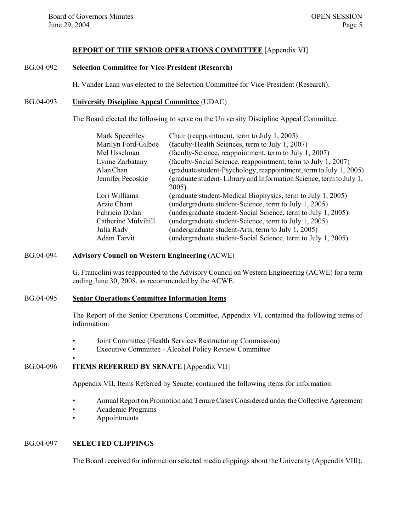#### **REPORT OF THE SENIOR OPERATIONS COMMITTEE** [Appendix VI]

# BG.04-092 **Selection Committee for Vice-President (Research)**

H. Vander Laan was elected to the Selection Committee for Vice-President (Research).

#### BG.04-093 **University Discipline Appeal Committee** (UDAC)

The Board elected the following to serve on the University Discipline Appeal Committee:

| Chair (reappointment, term to July 1, 2005)                        |
|--------------------------------------------------------------------|
| (faculty-Health Sciences, term to July 1, 2007)                    |
| (faculty-Science, reappointment, term to July 1, 2007)             |
| (faculty-Social Science, reappointment, term to July 1, 2007)      |
| (graduate student-Psychology, reappointment, term to July 1, 2005) |
| (graduate student-Library and Information Science, term to July 1, |
| 2005)                                                              |
| (graduate student-Medical Biophysics, term to July 1, 2005)        |
| (undergraduate student-Science, term to July 1, 2005)              |
| (undergraduate student-Social Science, term to July 1, 2005)       |
| (undergraduate student-Science, term to July 1, 2005)              |
| (undergraduate student-Arts, term to July 1, 2005)                 |
| (undergraduate student-Social Science, term to July 1, 2005)       |
|                                                                    |

#### BG.04-094 **Advisory Council on Western Engineering** (ACWE)

G. Francolini was reappointed to the Advisory Council on Western Engineering (ACWE) for a term ending June 30, 2008, as recommended by the ACWE.

#### BG.04-095 **Senior Operations Committee Information Items**

The Report of the Senior Operations Committee, Appendix VI, contained the following items of information:

- Joint Committee (Health Services Restructuring Commission)
- Executive Committee Alcohol Policy Review Committee

## BG.04-096 **ITEMS REFERRED BY SENATE** [Appendix VII]

Appendix VII, Items Referred by Senate, contained the following items for information:

- Annual Report on Promotion and Tenure Cases Considered under the Collective Agreement
- Academic Programs
- Appointments

## BG.04-097 **SELECTED CLIPPINGS**

•

The Board received for information selected media clippings about the University (Appendix VIII).